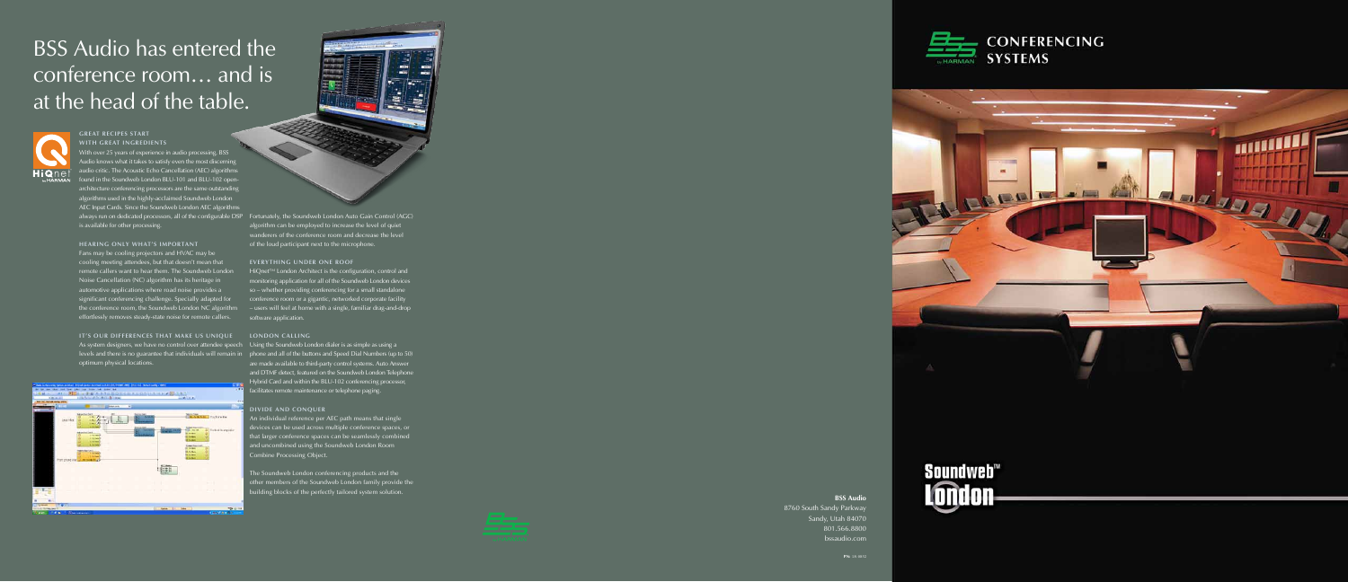# **BSS** Audio has entered the conference room… and is at the head of the table.

### **BSS Audio**

With over 25 years of experience in audio processing, BSS Audio knows what it takes to satisfy even the most discerning audio critic. The Acoustic Echo Cancellation (AEC) algorithms found in the Soundweb London BLU-101 and BLU-102 openarchitecture conferencing processors are the same outstanding algorithms used in the highly-acclaimed Soundweb London AEC Input Cards. Since the Soundweb London AEC algorithms always run on dedicated processors, all of the configurable DSP Fortunately, the Soundweb London Auto Gain Control (AGC) is available for other processing.

> 8760 South Sandy Parkway Sandy, Utah 84070 801.566.8800 bssaudio.com



**PN:** 18-0852

### **GREAT RECIPES START WITH GREAT INGREDIENTS**

### **HEARING ONLY WHAT'S IMPORTANT**

Fans may be cooling projectors and HVAC may be cooling meeting attendees, but that doesn't mean that remote callers want to hear them. The Soundweb London Noise Cancellation (NC) algorithm has its heritage in automotive applications where road noise provides a significant conferencing challenge. Specially adapted for the conference room, the Soundweb London NC algorithm effortlessly removes steady-state noise for remote callers.

HiQnet™ London Architect is the configuration, control and monitoring application for all of the Soundweb London devices so – whether providing conferencing for a small standalone conference room or a gigantic, networked corporate facility – users will feel at home with a single, familiar drag-and-drop software application.

## **IT'S OUR DIFFERENCES THAT MAKE US UNIQUE LONDON CALLING** As system designers, we have no control over attendee speech Using the Soundweb London dialer is as simple as using a optimum physical locations.



The Soundweb London conferencing products and the other members of the Soundweb London family provide the building blocks of the perfectly tailored system solution.







algorithm can be employed to increase the level of quiet wanderers of the conference room and decrease the level of the loud participant next to the microphone.

### **EVERYTHING UNDER ONE ROOF**

levels and there is no guarantee that individuals will remain in phone and all of the buttons and Speed Dial Numbers (up to 50) are made available to third-party control systems. Auto Answer and DTMF detect, featured on the Soundweb London Telephone Hybrid Card and within the BLU-102 conferencing processor, facilitates remote maintenance or telephone paging.

### **DIVIDE AND CONQUER**

An individual reference per AEC path means that single devices can be used across multiple conference spaces, or that larger conference spaces can be seamlessly combined and uncombined using the Soundweb London Room Combine Processing Object.